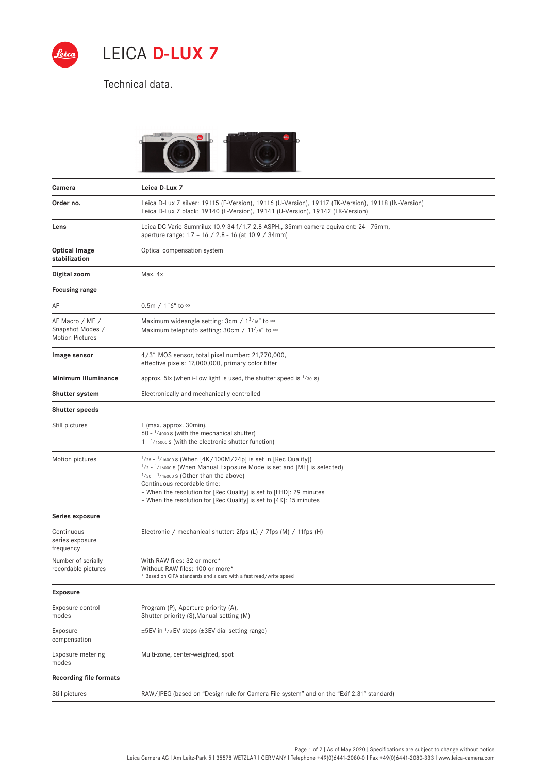

 $\sqrt{ }$ 

 $\frac{1}{2}$ 

LEICA **D-LUX 7**

Technical data.



 $\overline{\phantom{a}}$ 

 $\Box$ 

| Camera                                                        | Leica D-Lux 7                                                                                                                                                                                                                                                                                                                                                           |
|---------------------------------------------------------------|-------------------------------------------------------------------------------------------------------------------------------------------------------------------------------------------------------------------------------------------------------------------------------------------------------------------------------------------------------------------------|
| Order no.                                                     | Leica D-Lux 7 silver: 19115 (E-Version), 19116 (U-Version), 19117 (TK-Version), 19118 (IN-Version)<br>Leica D-Lux 7 black: 19140 (E-Version), 19141 (U-Version), 19142 (TK-Version)                                                                                                                                                                                     |
| Lens                                                          | Leica DC Vario-Summilux 10.9-34 f/1.7-2.8 ASPH., 35mm camera equivalent: 24 - 75mm,<br>aperture range: 1.7 - 16 / 2.8 - 16 (at 10.9 / 34mm)                                                                                                                                                                                                                             |
| <b>Optical Image</b><br>stabilization                         | Optical compensation system                                                                                                                                                                                                                                                                                                                                             |
| Digital zoom                                                  | Max. 4x                                                                                                                                                                                                                                                                                                                                                                 |
| <b>Focusing range</b>                                         |                                                                                                                                                                                                                                                                                                                                                                         |
| AF                                                            | $0.5m / 1'6"$ to ∞                                                                                                                                                                                                                                                                                                                                                      |
| AF Macro / MF /<br>Snapshot Modes /<br><b>Motion Pictures</b> | Maximum wideangle setting: 3cm / $1^3$ /16" to $\infty$<br>Maximum telephoto setting: 30cm / $11^{7}/8$ to $\infty$                                                                                                                                                                                                                                                     |
| Image sensor                                                  | 4/3" MOS sensor, total pixel number: 21,770,000,<br>effective pixels: 17,000,000, primary color filter                                                                                                                                                                                                                                                                  |
| <b>Minimum Illuminance</b>                                    | approx. 5lx (when i-Low light is used, the shutter speed is $\frac{1}{30}$ s)                                                                                                                                                                                                                                                                                           |
| <b>Shutter system</b>                                         | Electronically and mechanically controlled                                                                                                                                                                                                                                                                                                                              |
| <b>Shutter speeds</b>                                         |                                                                                                                                                                                                                                                                                                                                                                         |
| Still pictures                                                | T (max. approx. 30min),<br>60 - 1/4000 s (with the mechanical shutter)<br>$1 - \frac{1}{16000}$ s (with the electronic shutter function)                                                                                                                                                                                                                                |
| Motion pictures                                               | $1/25 - 1/16000$ S (When $[4K/100M/24p]$ is set in [Rec Quality])<br>$1/2 - 1/16000$ S (When Manual Exposure Mode is set and [MF] is selected)<br>$1/30 - 1/16000$ S (Other than the above)<br>Continuous recordable time:<br>- When the resolution for [Rec Quality] is set to [FHD]: 29 minutes<br>- When the resolution for [Rec Quality] is set to [4K]: 15 minutes |
| Series exposure                                               |                                                                                                                                                                                                                                                                                                                                                                         |
| Continuous<br>series exposure<br>frequency                    | Electronic / mechanical shutter: 2fps (L) / 7fps (M) / 11fps (H)                                                                                                                                                                                                                                                                                                        |
| Number of serially<br>recordable pictures                     | With RAW files: 32 or more*<br>Without RAW files: 100 or more*<br>* Based on CIPA standards and a card with a fast read/write speed                                                                                                                                                                                                                                     |
| <b>Exposure</b>                                               |                                                                                                                                                                                                                                                                                                                                                                         |
| Exposure control<br>modes                                     | Program (P), Aperture-priority (A),<br>Shutter-priority (S), Manual setting (M)                                                                                                                                                                                                                                                                                         |
| Exposure<br>compensation                                      | $\pm$ 5EV in $\frac{1}{3}$ EV steps ( $\pm$ 3EV dial setting range)                                                                                                                                                                                                                                                                                                     |
| Exposure metering<br>modes                                    | Multi-zone, center-weighted, spot                                                                                                                                                                                                                                                                                                                                       |
| <b>Recording file formats</b>                                 |                                                                                                                                                                                                                                                                                                                                                                         |
| Still pictures                                                | RAW/JPEG (based on "Design rule for Camera File system" and on the "Exif 2.31" standard)                                                                                                                                                                                                                                                                                |